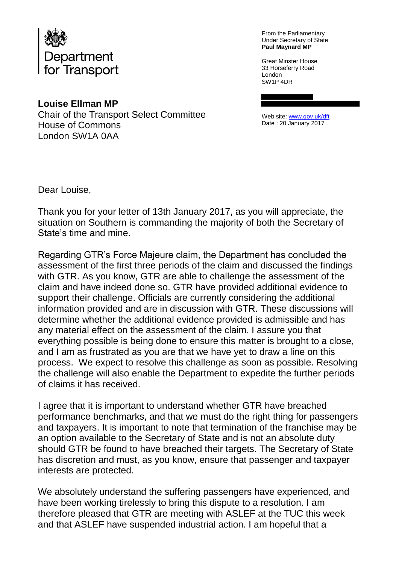

From the Parliamentary Under Secretary of State **Paul Maynard MP**

Great Minster House 33 Horseferry Road London SW1P 4DR

**Louise Ellman MP**  Chair of the Transport Select Committee House of Commons London SW1A 0AA

Web site[: www.gov.uk/dft](http://www.gov.uk/dft) Date : 20 January 2017

Dear Louise,

Thank you for your letter of 13th January 2017, as you will appreciate, the situation on Southern is commanding the majority of both the Secretary of State's time and mine.

Regarding GTR's Force Majeure claim, the Department has concluded the assessment of the first three periods of the claim and discussed the findings with GTR. As you know, GTR are able to challenge the assessment of the claim and have indeed done so. GTR have provided additional evidence to support their challenge. Officials are currently considering the additional information provided and are in discussion with GTR. These discussions will determine whether the additional evidence provided is admissible and has any material effect on the assessment of the claim. I assure you that everything possible is being done to ensure this matter is brought to a close, and I am as frustrated as you are that we have yet to draw a line on this process. We expect to resolve this challenge as soon as possible. Resolving the challenge will also enable the Department to expedite the further periods of claims it has received.

I agree that it is important to understand whether GTR have breached performance benchmarks, and that we must do the right thing for passengers and taxpayers. It is important to note that termination of the franchise may be an option available to the Secretary of State and is not an absolute duty should GTR be found to have breached their targets. The Secretary of State has discretion and must, as you know, ensure that passenger and taxpayer interests are protected.

We absolutely understand the suffering passengers have experienced, and have been working tirelessly to bring this dispute to a resolution. I am therefore pleased that GTR are meeting with ASLEF at the TUC this week and that ASLEF have suspended industrial action. I am hopeful that a